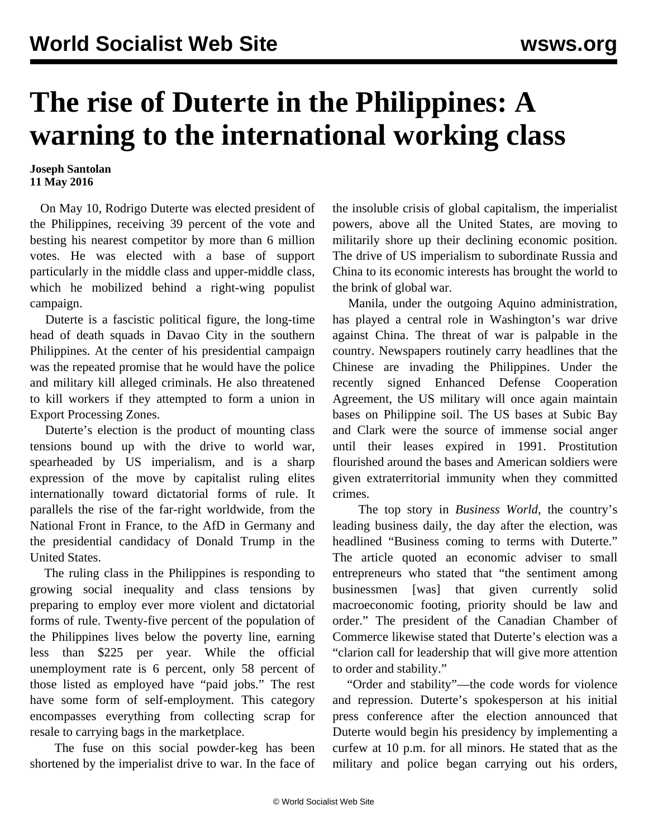## **The rise of Duterte in the Philippines: A warning to the international working class**

## **Joseph Santolan 11 May 2016**

 On May 10, Rodrigo Duterte was elected president of the Philippines, receiving 39 percent of the vote and besting his nearest competitor by more than 6 million votes. He was elected with a base of support particularly in the middle class and upper-middle class, which he mobilized behind a right-wing populist campaign.

 Duterte is a fascistic political figure, the long-time head of death squads in Davao City in the southern Philippines. At the center of his presidential campaign was the repeated promise that he would have the police and military kill alleged criminals. He also threatened to kill workers if they attempted to form a union in Export Processing Zones.

 Duterte's election is the product of mounting class tensions bound up with the drive to world war, spearheaded by US imperialism, and is a sharp expression of the move by capitalist ruling elites internationally toward dictatorial forms of rule. It parallels the rise of the far-right worldwide, from the National Front in France, to the AfD in Germany and the presidential candidacy of Donald Trump in the United States.

 The ruling class in the Philippines is responding to growing social inequality and class tensions by preparing to employ ever more violent and dictatorial forms of rule. Twenty-five percent of the population of the Philippines lives below the poverty line, earning less than \$225 per year. While the official unemployment rate is 6 percent, only 58 percent of those listed as employed have "paid jobs." The rest have some form of self-employment. This category encompasses everything from collecting scrap for resale to carrying bags in the marketplace.

 The fuse on this social powder-keg has been shortened by the imperialist drive to war. In the face of the insoluble crisis of global capitalism, the imperialist powers, above all the United States, are moving to militarily shore up their declining economic position. The drive of US imperialism to subordinate Russia and China to its economic interests has brought the world to the brink of global war.

 Manila, under the outgoing Aquino administration, has played a central role in Washington's war drive against China. The threat of war is palpable in the country. Newspapers routinely carry headlines that the Chinese are invading the Philippines. Under the recently signed Enhanced Defense Cooperation Agreement, the US military will once again maintain bases on Philippine soil. The US bases at Subic Bay and Clark were the source of immense social anger until their leases expired in 1991. Prostitution flourished around the bases and American soldiers were given extraterritorial immunity when they committed crimes.

 The top story in *Business World*, the country's leading business daily, the day after the election, was headlined "Business coming to terms with Duterte." The article quoted an economic adviser to small entrepreneurs who stated that "the sentiment among businessmen [was] that given currently solid macroeconomic footing, priority should be law and order." The president of the Canadian Chamber of Commerce likewise stated that Duterte's election was a "clarion call for leadership that will give more attention to order and stability."

 "Order and stability"—the code words for violence and repression. Duterte's spokesperson at his initial press conference after the election announced that Duterte would begin his presidency by implementing a curfew at 10 p.m. for all minors. He stated that as the military and police began carrying out his orders,